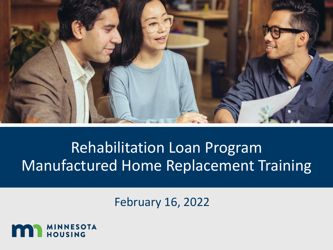

# Rehabilitation Loan Program *Loan Processing* Manufactured Home Replacement Training

February 16, 2022

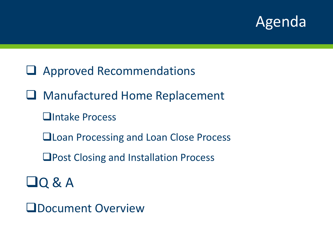### Agenda

- ❑ Approved Recommendations
- ❑ Manufactured Home Replacement
	- ❑Intake Process
	- ❑Loan Processing and Loan Close Process
	- ❑Post Closing and Installation Process
- ❑Q & A
- ❑Document Overview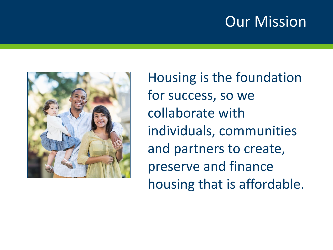## Our Mission



Housing is the foundation for success, so we collaborate with individuals, communities and partners to create, preserve and finance housing that is affordable.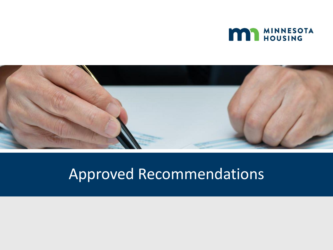



# Approved Recommendations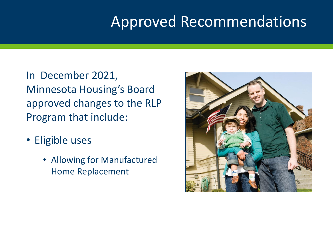## Approved Recommendations

In December 2021, Minnesota Housing's Board approved changes to the RLP Program that include:

- Eligible uses
	- Allowing for Manufactured Home Replacement

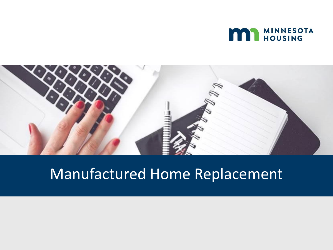



# Manufactured Home Replacement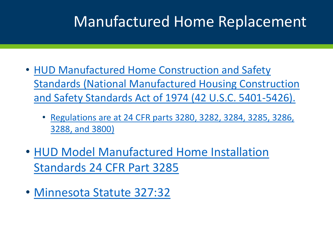## Manufactured Home Replacement

- HUD Manufactured Home Construction and Safety [Standards \(National Manufactured Housing Construction](https://www.hud.gov/hudprograms/mhcss) and Safety Standards Act of 1974 (42 U.S.C. 5401-5426).
	- [Regulations are at 24 CFR parts 3280, 3282, 3284, 3285, 3286,](https://www.ecfr.gov/current/title-24/subtitle-B/chapter-XX) 3288, and 3800)
- [HUD Model Manufactured Home Installation](https://www.ecfr.gov/current/title-24/subtitle-B/chapter-XX/part-3285)  Standards 24 CFR Part 3285
- [Minnesota Statute 327:32](https://www.revisor.mn.gov/statutes/2020/cite/327.32/pdf)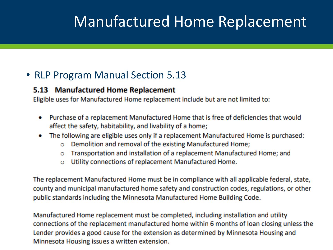### Manufactured Home Replacement

#### • RLP Program Manual Section 5.13

#### 5.13 Manufactured Home Replacement

Eligible uses for Manufactured Home replacement include but are not limited to:

- Purchase of a replacement Manufactured Home that is free of deficiencies that would affect the safety, habitability, and livability of a home;
- The following are eligible uses only if a replacement Manufactured Home is purchased:  $\bullet$ 
	- Demolition and removal of the existing Manufactured Home;  $\circ$
	- Transportation and installation of a replacement Manufactured Home; and  $\circ$
	- Utility connections of replacement Manufactured Home.  $\circ$

The replacement Manufactured Home must be in compliance with all applicable federal, state, county and municipal manufactured home safety and construction codes, regulations, or other public standards including the Minnesota Manufactured Home Building Code.

Manufactured Home replacement must be completed, including installation and utility connections of the replacement manufactured home within 6 months of loan closing unless the Lender provides a good cause for the extension as determined by Minnesota Housing and Minnesota Housing issues a written extension.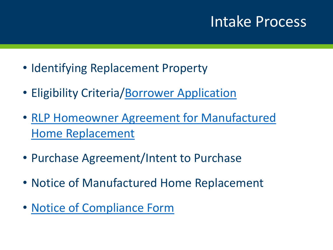### Intake Process

- Identifying Replacement Property
- Eligibility Criteria/[Borrower Application](http://www.mnhousing.gov/get/MHFA_011706)
- [RLP Homeowner Agreement for Manufactured](http://www.mnhousing.gov/get/MHFA_260727) Home Replacement
- Purchase Agreement/Intent to Purchase
- Notice of Manufactured Home Replacement
- [Notice of Compliance Form](https://www.revisor.mn.gov/statutes/2020/cite/327.32/pdf)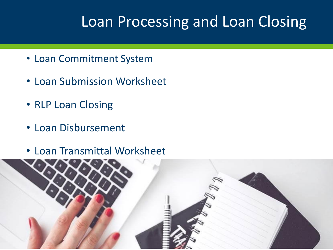# Loan Processing and Loan Closing

- Loan Commitment System
- Loan Submission Worksheet
- RLP Loan Closing
- Loan Disbursement
- Loan Transmittal Worksheet

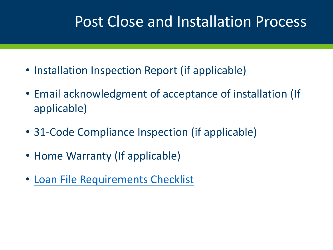## Post Close and Installation Process

- Installation Inspection Report (if applicable)
- Email acknowledgment of acceptance of installation (If applicable)
- 31-Code Compliance Inspection (if applicable)
- Home Warranty (If applicable)
- [Loan File Requirements Checklist](http://www.mnhousing.gov/get/MHFA_012087)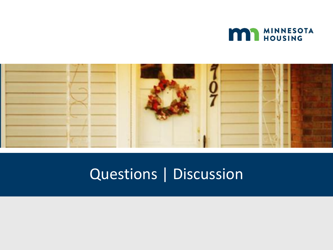



# Questions | Discussion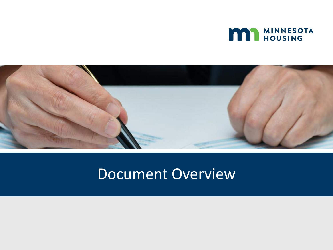



# Document Overview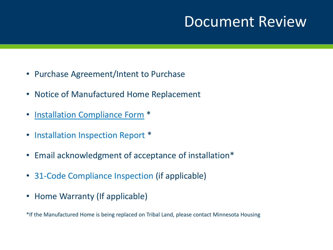### Document Review

- Purchase Agreement/Intent to Purchase
- Notice of Manufactured Home Replacement
- [Installation Compliance Form](https://www.revisor.mn.gov/statutes/2020/cite/327.32/pdf)<sup>\*</sup>
- Installation Inspection Report \*
- Email acknowledgment of acceptance of installation\*
- 31-Code Compliance Inspection (if applicable)
- Home Warranty (If applicable)

\*If the Manufactured Home is being replaced on Tribal Land, please contact Minnesota Housing